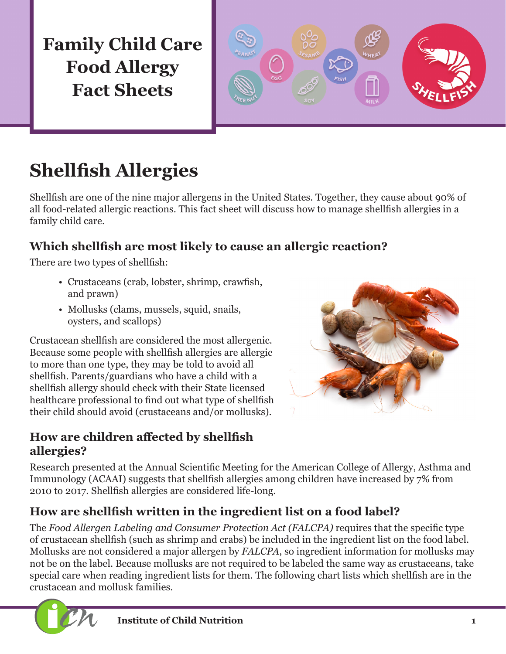

# **Shellfish Allergies**

Shellfish are one of the nine major allergens in the United States. Together, they cause about 90% of all food-related allergic reactions. This fact sheet will discuss how to manage shellfish allergies in a family child care.

### **Which shellfish are most likely to cause an allergic reaction?**

There are two types of shellfish:

- Crustaceans (crab, lobster, shrimp, crawfish, and prawn)
- Mollusks (clams, mussels, squid, snails, oysters, and scallops)

Crustacean shellfish are considered the most allergenic. Because some people with shellfish allergies are allergic to more than one type, they may be told to avoid all shellfish. Parents/guardians who have a child with a shellfish allergy should check with their State licensed healthcare professional to find out what type of shellfish their child should avoid (crustaceans and/or mollusks).

### **How are children affected by shellfish allergies?**



Research presented at the Annual Scientific Meeting for the American College of Allergy, Asthma and Immunology (ACAAI) suggests that shellfish allergies among children have increased by 7% from 2010 to 2017. Shellfish allergies are considered life-long.

### **How are shellfish written in the ingredient list on a food label?**

The *Food Allergen Labeling and Consumer Protection Act (FALCPA)* requires that the specific type of crustacean shellfish (such as shrimp and crabs) be included in the ingredient list on the food label. Mollusks are not considered a major allergen by *FALCPA*, so ingredient information for mollusks may not be on the label. Because mollusks are not required to be labeled the same way as crustaceans, take special care when reading ingredient lists for them. The following chart lists which shellfish are in the crustacean and mollusk families.

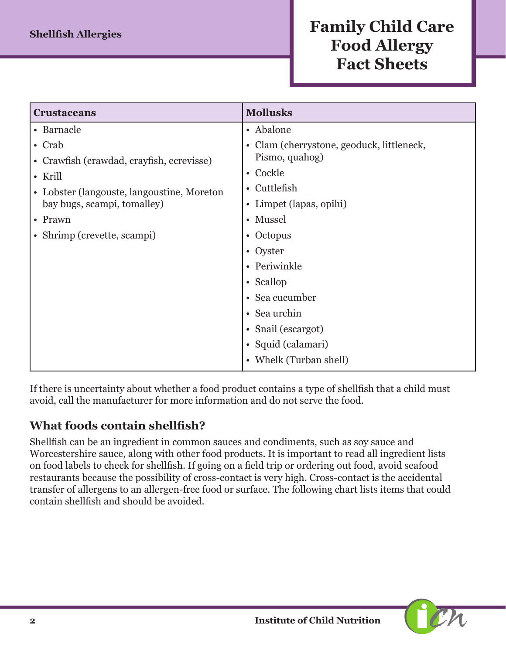| <b>Mollusks</b>                           |
|-------------------------------------------|
| • Abalone                                 |
| • Clam (cherrystone, geoduck, littleneck, |
| Pismo, quahog)                            |
| • Cockle                                  |
| • Cuttlefish                              |
| • Limpet (lapas, opihi)                   |
| • Mussel                                  |
| • Octopus                                 |
| • Oyster                                  |
| • Periwinkle                              |
| • Scallop                                 |
| • Sea cucumber                            |
| Sea urchin<br>$\bullet$                   |
| • Snail (escargot)                        |
| • Squid (calamari)                        |
| • Whelk (Turban shell)                    |
|                                           |

If there is uncertainty about whether a food product contains a type of shellfish that a child must avoid, call the manufacturer for more information and do not serve the food.

### **What foods contain shellfish?**

Shellfish can be an ingredient in common sauces and condiments, such as soy sauce and Worcestershire sauce, along with other food products. It is important to read all ingredient lists on food labels to check for shellfish. If going on a field trip or ordering out food, avoid seafood restaurants because the possibility of cross-contact is very high. Cross-contact is the accidental transfer of allergens to an allergen-free food or surface. The following chart lists items that could contain shellfish and should be avoided.

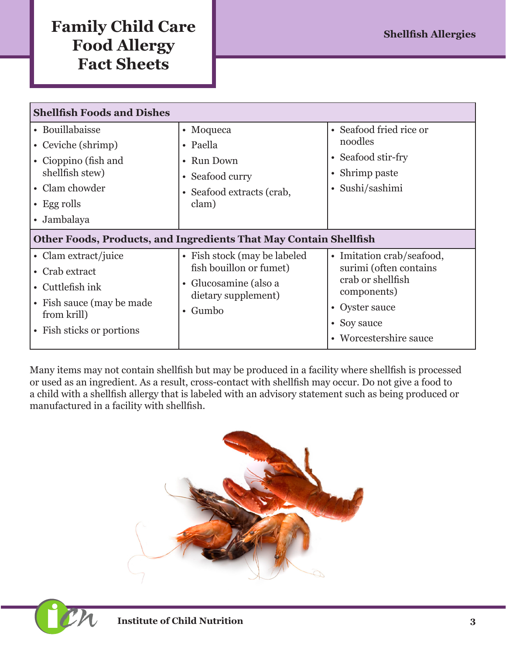| <b>Shellfish Foods and Dishes</b>                                                                                                      |                                                                                                                               |                                                                                                                                                    |  |
|----------------------------------------------------------------------------------------------------------------------------------------|-------------------------------------------------------------------------------------------------------------------------------|----------------------------------------------------------------------------------------------------------------------------------------------------|--|
| • Bouillabaisse<br>• Ceviche (shrimp)<br>• Cioppino (fish and<br>shellfish stew)<br>• Clam chowder<br>$\cdot$ Egg rolls<br>• Jambalaya | • Moqueca<br>• Paella<br>• Run Down<br>• Seafood curry<br>• Seafood extracts (crab,<br>clam)                                  | • Seafood fried rice or<br>noodles<br>• Seafood stir-fry<br>• Shrimp paste<br>• Sushi/sashimi                                                      |  |
| Other Foods, Products, and Ingredients That May Contain Shellfish                                                                      |                                                                                                                               |                                                                                                                                                    |  |
| • Clam extract/juice<br>• Crab extract<br>• Cuttlefish ink<br>• Fish sauce (may be made)<br>from krill)<br>• Fish sticks or portions   | • Fish stock (may be labeled<br>fish bouillon or fumet)<br>• Glucosamine (also a<br>dietary supplement)<br>Gumbo<br>$\bullet$ | • Imitation crab/seafood,<br>surimi (often contains<br>crab or shellfish<br>components)<br>• Oyster sauce<br>• Soy sauce<br>• Worcestershire sauce |  |

Many items may not contain shellfish but may be produced in a facility where shellfish is processed or used as an ingredient. As a result, cross-contact with shellfish may occur. Do not give a food to a child with a shellfish allergy that is labeled with an advisory statement such as being produced or manufactured in a facility with shellfish.

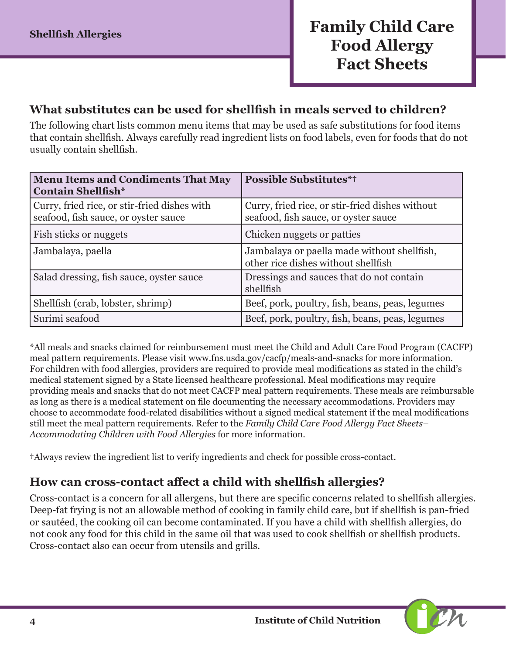#### **What substitutes can be used for shellfish in meals served to children?**

The following chart lists common menu items that may be used as safe substitutions for food items that contain shellfish. Always carefully read ingredient lists on food labels, even for foods that do not usually contain shellfish.

| <b>Menu Items and Condiments That May</b><br><b>Contain Shellfish*</b>               | <b>Possible Substitutes*†</b>                                                           |
|--------------------------------------------------------------------------------------|-----------------------------------------------------------------------------------------|
| Curry, fried rice, or stir-fried dishes with<br>seafood, fish sauce, or oyster sauce | Curry, fried rice, or stir-fried dishes without<br>seafood, fish sauce, or oyster sauce |
| Fish sticks or nuggets                                                               | Chicken nuggets or patties                                                              |
| Jambalaya, paella                                                                    | Jambalaya or paella made without shellfish,<br>other rice dishes without shellfish      |
| Salad dressing, fish sauce, oyster sauce                                             | Dressings and sauces that do not contain<br>shellfish                                   |
| Shellfish (crab, lobster, shrimp)                                                    | Beef, pork, poultry, fish, beans, peas, legumes                                         |
| Surimi seafood                                                                       | Beef, pork, poultry, fish, beans, peas, legumes                                         |

\*All meals and snacks claimed for reimbursement must meet the Child and Adult Care Food Program (CACFP) meal pattern requirements. Please visit [www.fns.usda.gov/cacfp/meals-and-snacks](http://www.fns.usda.gov/cacfp/meals-and-snacks) for more information. For children with food allergies, providers are required to provide meal modifications as stated in the child's medical statement signed by a State licensed healthcare professional. Meal modifications may require providing meals and snacks that do not meet CACFP meal pattern requirements. These meals are reimbursable as long as there is a medical statement on file documenting the necessary accommodations. Providers may choose to accommodate food-related disabilities without a signed medical statement if the meal modifications still meet the meal pattern requirements. Refer to the *Family Child Care Food Allergy Fact Sheets– Accommodating Children with Food Allergies* for more information.

†Always review the ingredient list to verify ingredients and check for possible cross-contact.

#### **How can cross-contact affect a child with shellfish allergies?**

Cross-contact is a concern for all allergens, but there are specific concerns related to shellfish allergies. Deep-fat frying is not an allowable method of cooking in family child care, but if shellfish is pan-fried or sautéed, the cooking oil can become contaminated. If you have a child with shellfish allergies, do not cook any food for this child in the same oil that was used to cook shellfish or shellfish products. Cross-contact also can occur from utensils and grills.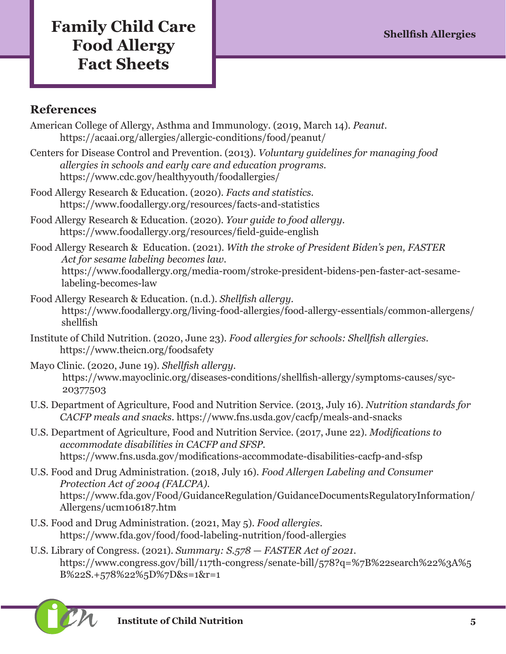### **References**

- American College of Allergy, Asthma and Immunology. (2019, March 14). *Peanut.*  <https://acaai.org/allergies/allergic-conditions/food/peanut/>
- Centers for Disease Control and Prevention. (2013). *Voluntary guidelines for managing food allergies in schools and early care and education programs.*  <https://www.cdc.gov/healthyyouth/foodallergies/>
- Food Allergy Research & Education. (2020). *Facts and statistics.*  <https://www.foodallergy.org/resources/facts-and-statistics>
- Food Allergy Research & Education. (2020). *Your guide to food allergy.* <https://www.foodallergy.org/resources/field-guide-english>
- Food Allergy Research & Education. (2021). *With the stroke of President Biden's pen, FASTER Act for sesame labeling becomes law.*  [https://www.foodallergy.org/media-room/stroke-president-bidens-pen-faster-act-sesame](https://www.foodallergy.org/media-room/stroke-president-bidens-pen-faster-act-sesame-labeling-becomes-law)[labeling-becomes-law](https://www.foodallergy.org/media-room/stroke-president-bidens-pen-faster-act-sesame-labeling-becomes-law)
- Food Allergy Research & Education. (n.d.). *Shellfish allergy.*  [https://www.foodallergy.org/living-food-allergies/food-allergy-essentials/common-allergens/](https://www.foodallergy.org/living-food-allergies/food-allergy-essentials/common-allergens/shellfish) [shellfish](https://www.foodallergy.org/living-food-allergies/food-allergy-essentials/common-allergens/shellfish)
- Institute of Child Nutrition. (2020, June 23). *Food allergies for schools: Shellfish allergies.* <https://www.theicn.org/foodsafety>
- Mayo Clinic. (2020, June 19). *Shellfish allergy.* [https://www.mayoclinic.org/diseases-conditions/shellfish-allergy/symptoms-causes/syc-](https://www.mayoclinic.org/diseases-conditions/shellfish-allergy/symptoms-causes/syc-20377503)[20377503](https://www.mayoclinic.org/diseases-conditions/shellfish-allergy/symptoms-causes/syc-20377503)
- U.S. Department of Agriculture, Food and Nutrition Service. (2013, July 16). *Nutrition standards for CACFP meals and snacks.* <https://www.fns.usda.gov/cacfp/meals-and-snacks>
- U.S. Department of Agriculture, Food and Nutrition Service. (2017, June 22). *Modifications to accommodate disabilities in CACFP and SFSP.* <https://www.fns.usda.gov/modifications-accommodate-disabilities-cacfp-and-sfsp>
- U.S. Food and Drug Administration. (2018, July 16). *Food Allergen Labeling and Consumer Protection Act of 2004 (FALCPA)*. [https://www.fda.gov/Food/GuidanceRegulation/GuidanceDocumentsRegulatoryInformation/](https://www.fda.gov/Food/GuidanceRegulation/GuidanceDocumentsRegulatoryInformation/Allergens/ucm106187.htm) [Allergens/ucm106187.htm](https://www.fda.gov/Food/GuidanceRegulation/GuidanceDocumentsRegulatoryInformation/Allergens/ucm106187.htm)
- U.S. Food and Drug Administration. (2021, May 5). *Food allergies.*  <https://www.fda.gov/food/food-labeling-nutrition/food-allergies>
- U.S. Library of Congress. (2021). *Summary: S.578 FASTER Act of 2021.* [https://www.congress.gov/bill/117th-congress/senate-bill/578?q=%7B%22search%22%3A%5](https://www.congress.gov/bill/117th-congress/senate-bill/578?q=%7B%22search%22%3A%5B%22S.+578%22%5D%7D&s=1&r=1) [B%22S.+578%22%5D%7D&s=1&r=1](https://www.congress.gov/bill/117th-congress/senate-bill/578?q=%7B%22search%22%3A%5B%22S.+578%22%5D%7D&s=1&r=1)